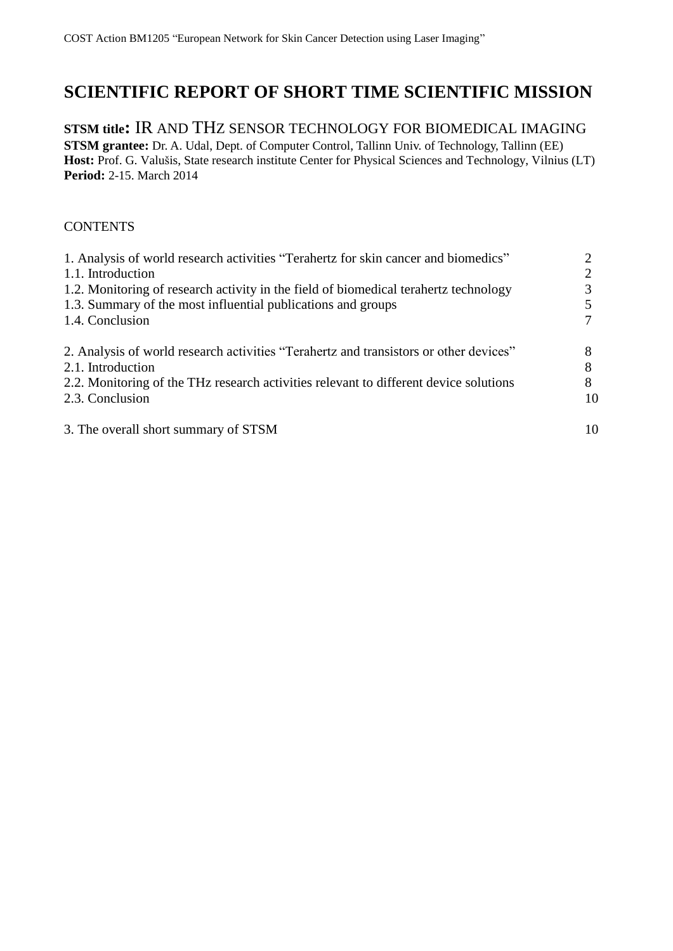# **SCIENTIFIC REPORT OF SHORT TIME SCIENTIFIC MISSION**

# **STSM title:** IR AND THZ SENSOR TECHNOLOGY FOR BIOMEDICAL IMAGING

**STSM grantee:** Dr. A. Udal, Dept. of Computer Control, Tallinn Univ. of Technology, Tallinn (EE) Host: Prof. G. Valušis, State research institute Center for Physical Sciences and Technology, Vilnius (LT) **Period:** 2-15. March 2014

### **CONTENTS**

| 1. Analysis of world research activities "Terahertz for skin cancer and biomedics"    |    |
|---------------------------------------------------------------------------------------|----|
| 1.1. Introduction                                                                     |    |
| 1.2. Monitoring of research activity in the field of biomedical terahertz technology  |    |
| 1.3. Summary of the most influential publications and groups                          |    |
| 1.4. Conclusion                                                                       |    |
| 2. Analysis of world research activities "Terahertz and transistors or other devices" |    |
| 2.1. Introduction                                                                     |    |
| 2.2. Monitoring of the THz research activities relevant to different device solutions | 8  |
| 2.3. Conclusion                                                                       | 10 |
| 3. The overall short summary of STSM                                                  | 10 |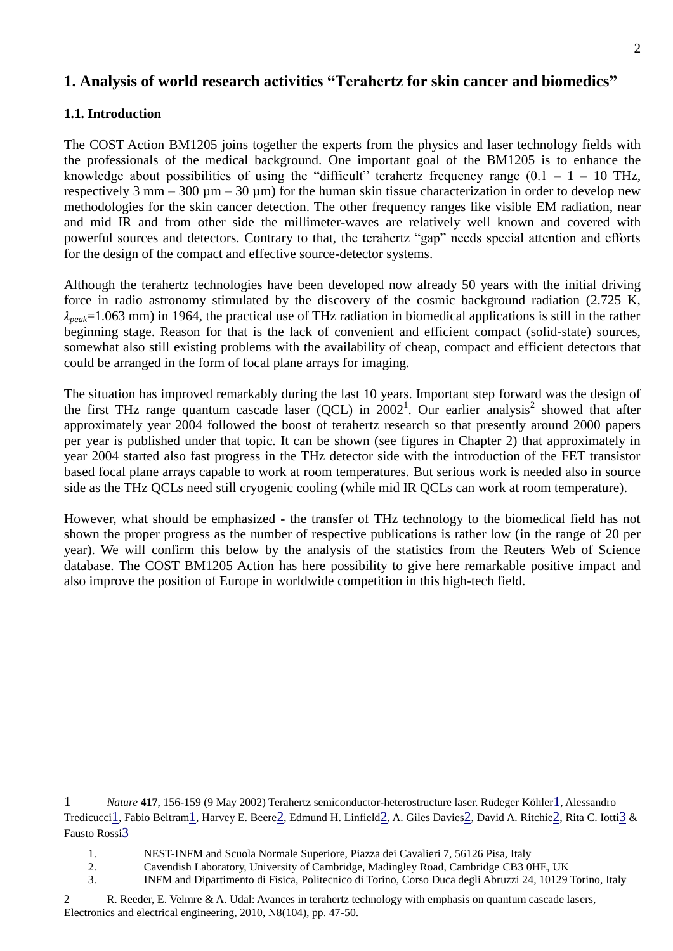# **1. Analysis of world research activities "Terahertz for skin cancer and biomedics"**

#### **1.1. Introduction**

1

The COST Action BM1205 joins together the experts from the physics and laser technology fields with the professionals of the medical background. One important goal of the BM1205 is to enhance the knowledge about possibilities of using the "difficult" terahertz frequency range  $(0.1 - 1 - 10)$  THz, respectively 3 mm – 300  $\mu$ m – 30  $\mu$ m) for the human skin tissue characterization in order to develop new methodologies for the skin cancer detection. The other frequency ranges like visible EM radiation, near and mid IR and from other side the millimeter-waves are relatively well known and covered with powerful sources and detectors. Contrary to that, the terahertz "gap" needs special attention and efforts for the design of the compact and effective source-detector systems.

Although the terahertz technologies have been developed now already 50 years with the initial driving force in radio astronomy stimulated by the discovery of the cosmic background radiation (2.725 K, *λpeak*=1.063 mm) in 1964, the practical use of THz radiation in biomedical applications is still in the rather beginning stage. Reason for that is the lack of convenient and efficient compact (solid-state) sources, somewhat also still existing problems with the availability of cheap, compact and efficient detectors that could be arranged in the form of focal plane arrays for imaging.

The situation has improved remarkably during the last 10 years. Important step forward was the design of the first THz range quantum cascade laser  $(QCL)$  in  $2002<sup>1</sup>$ . Our earlier analysis<sup>2</sup> showed that after approximately year 2004 followed the boost of terahertz research so that presently around 2000 papers per year is published under that topic. It can be shown (see figures in Chapter 2) that approximately in year 2004 started also fast progress in the THz detector side with the introduction of the FET transistor based focal plane arrays capable to work at room temperatures. But serious work is needed also in source side as the THz QCLs need still cryogenic cooling (while mid IR QCLs can work at room temperature).

However, what should be emphasized - the transfer of THz technology to the biomedical field has not shown the proper progress as the number of respective publications is rather low (in the range of 20 per year). We will confirm this below by the analysis of the statistics from the Reuters Web of Science database. The COST BM1205 Action has here possibility to give here remarkable positive impact and also improve the position of Europe in worldwide competition in this high-tech field.

<sup>1</sup> *Nature* **417**, 156-159 (9 May 2002) Terahertz semiconductor-heterostructure laser. Rüdeger Köhler[1](http://www.nature.com/nature/journal/v417/n6885/full/417156a.html#a1), Alessandro Tredicucci[1](http://www.nature.com/nature/journal/v417/n6885/full/417156a.html#a1), Fabio Beltram[1](http://www.nature.com/nature/journal/v417/n6885/full/417156a.html#a1), Harvey E. Beere[2](http://www.nature.com/nature/journal/v417/n6885/full/417156a.html#a2), Edmund H. Linfield[2](http://www.nature.com/nature/journal/v417/n6885/full/417156a.html#a2), A. Giles Davies[2](http://www.nature.com/nature/journal/v417/n6885/full/417156a.html#a2), David A. Ritchie[2](http://www.nature.com/nature/journal/v417/n6885/full/417156a.html#a2), Rita C. Iotti[3](http://www.nature.com/nature/journal/v417/n6885/full/417156a.html#a3) & Fausto Rossi[3](http://www.nature.com/nature/journal/v417/n6885/full/417156a.html#a3)

<sup>1.</sup> NEST-INFM and Scuola Normale Superiore, Piazza dei Cavalieri 7, 56126 Pisa, Italy

<sup>2.</sup> Cavendish Laboratory, University of Cambridge, Madingley Road, Cambridge CB3 0HE, UK

<sup>3.</sup> INFM and Dipartimento di Fisica, Politecnico di Torino, Corso Duca degli Abruzzi 24, 10129 Torino, Italy

<sup>2</sup> R. Reeder, E. Velmre & A. Udal: Avances in terahertz technology with emphasis on quantum cascade lasers, Electronics and electrical engineering, 2010, N8(104), pp. 47-50.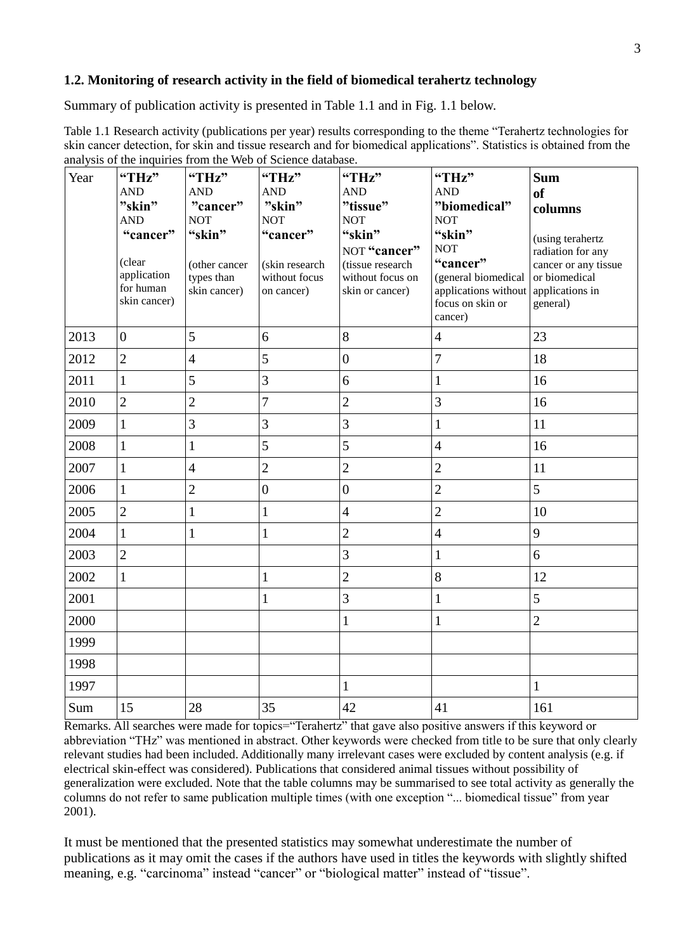### **1.2. Monitoring of research activity in the field of biomedical terahertz technology**

Summary of publication activity is presented in Table 1.1 and in Fig. 1.1 below.

Table 1.1 Research activity (publications per year) results corresponding to the theme "Terahertz technologies for skin cancer detection, for skin and tissue research and for biomedical applications". Statistics is obtained from the analysis of the inquiries from the Web of Science database.

| Year | $\mu$ and $\mu$ or the inquiries from<br>"THz"     | "THz"                                       | "THz"                                         | "THz"                                                   | "THz"                                                                                  | <b>Sum</b>                                                           |
|------|----------------------------------------------------|---------------------------------------------|-----------------------------------------------|---------------------------------------------------------|----------------------------------------------------------------------------------------|----------------------------------------------------------------------|
|      | <b>AND</b>                                         | <b>AND</b>                                  | <b>AND</b>                                    | <b>AND</b>                                              | <b>AND</b>                                                                             | <b>of</b>                                                            |
|      | "skin"                                             | "cancer"                                    | "skin"                                        | "tissue"                                                | "biomedical"                                                                           | columns                                                              |
|      | <b>AND</b>                                         | <b>NOT</b>                                  | <b>NOT</b>                                    | <b>NOT</b>                                              | <b>NOT</b>                                                                             |                                                                      |
|      | "cancer"                                           | "skin"                                      | "cancer"                                      | "skin"<br>NOT "cancer"                                  | "skin"<br><b>NOT</b>                                                                   | (using terahertz<br>radiation for any                                |
|      | (clear<br>application<br>for human<br>skin cancer) | (other cancer<br>types than<br>skin cancer) | (skin research<br>without focus<br>on cancer) | (tissue research<br>without focus on<br>skin or cancer) | "cancer"<br>(general biomedical<br>applications without<br>focus on skin or<br>cancer) | cancer or any tissue<br>or biomedical<br>applications in<br>general) |
| 2013 | $\overline{0}$                                     | 5                                           | 6                                             | 8                                                       | $\overline{4}$                                                                         | 23                                                                   |
| 2012 | $\overline{2}$                                     | $\overline{4}$                              | 5                                             | $\boldsymbol{0}$                                        | $\overline{7}$                                                                         | 18                                                                   |
| 2011 | $\mathbf{1}$                                       | 5                                           | 3                                             | 6                                                       | $\mathbf{1}$                                                                           | 16                                                                   |
| 2010 | $\overline{2}$                                     | $\overline{2}$                              | $\overline{7}$                                | $\overline{2}$                                          | 3                                                                                      | 16                                                                   |
| 2009 | $\mathbf{1}$                                       | 3                                           | 3                                             | 3                                                       | $\mathbf{1}$                                                                           | 11                                                                   |
| 2008 | $\mathbf{1}$                                       | $\mathbf{1}$                                | 5                                             | 5                                                       | $\overline{4}$                                                                         | 16                                                                   |
| 2007 | $\mathbf{1}$                                       | $\overline{4}$                              | $\overline{2}$                                | $\overline{2}$                                          | $\overline{2}$                                                                         | 11                                                                   |
| 2006 | $\mathbf{1}$                                       | $\overline{2}$                              | $\boldsymbol{0}$                              | $\boldsymbol{0}$                                        | $\overline{2}$                                                                         | 5                                                                    |
| 2005 | $\overline{2}$                                     | $\mathbf{1}$                                | $\mathbf{1}$                                  | $\overline{4}$                                          | $\overline{2}$                                                                         | 10                                                                   |
| 2004 | $\mathbf{1}$                                       | $\mathbf{1}$                                | $\mathbf{1}$                                  | $\overline{2}$                                          | $\overline{4}$                                                                         | 9                                                                    |
| 2003 | $\overline{2}$                                     |                                             |                                               | 3                                                       | $\mathbf{1}$                                                                           | 6                                                                    |
| 2002 | $\mathbf{1}$                                       |                                             | $\mathbf{1}$                                  | $\overline{2}$                                          | $8\,$                                                                                  | 12                                                                   |
| 2001 |                                                    |                                             | $\mathbf{1}$                                  | $\overline{3}$                                          | $\mathbf{1}$                                                                           | 5                                                                    |
| 2000 |                                                    |                                             |                                               | $\mathbf{1}$                                            | $\mathbf{1}$                                                                           | $\overline{2}$                                                       |
| 1999 |                                                    |                                             |                                               |                                                         |                                                                                        |                                                                      |
| 1998 |                                                    |                                             |                                               |                                                         |                                                                                        |                                                                      |
| 1997 |                                                    |                                             |                                               | $\mathbf{1}$                                            |                                                                                        | $\mathbf{1}$                                                         |
| Sum  | 15                                                 | 28                                          | 35                                            | 42                                                      | 41                                                                                     | 161                                                                  |

Remarks. All searches were made for topics="Terahertz" that gave also positive answers if this keyword or abbreviation "THz" was mentioned in abstract. Other keywords were checked from title to be sure that only clearly relevant studies had been included. Additionally many irrelevant cases were excluded by content analysis (e.g. if electrical skin-effect was considered). Publications that considered animal tissues without possibility of generalization were excluded. Note that the table columns may be summarised to see total activity as generally the columns do not refer to same publication multiple times (with one exception "... biomedical tissue" from year 2001).

It must be mentioned that the presented statistics may somewhat underestimate the number of publications as it may omit the cases if the authors have used in titles the keywords with slightly shifted meaning, e.g. "carcinoma" instead "cancer" or "biological matter" instead of "tissue".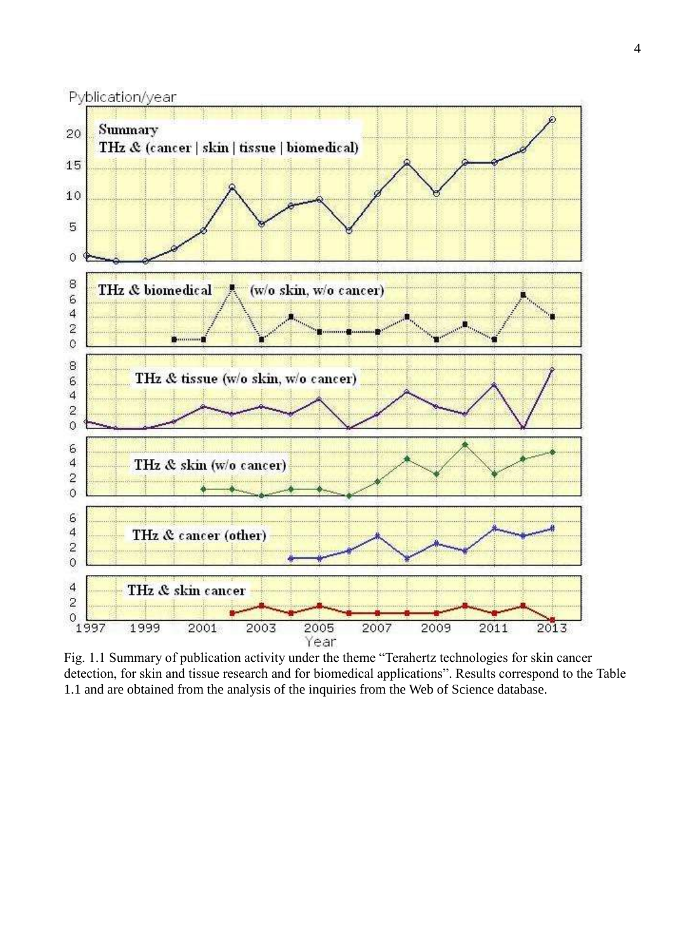

Fig. 1.1 Summary of publication activity under the theme "Terahertz technologies for skin cancer detection, for skin and tissue research and for biomedical applications". Results correspond to the Table 1.1 and are obtained from the analysis of the inquiries from the Web of Science database.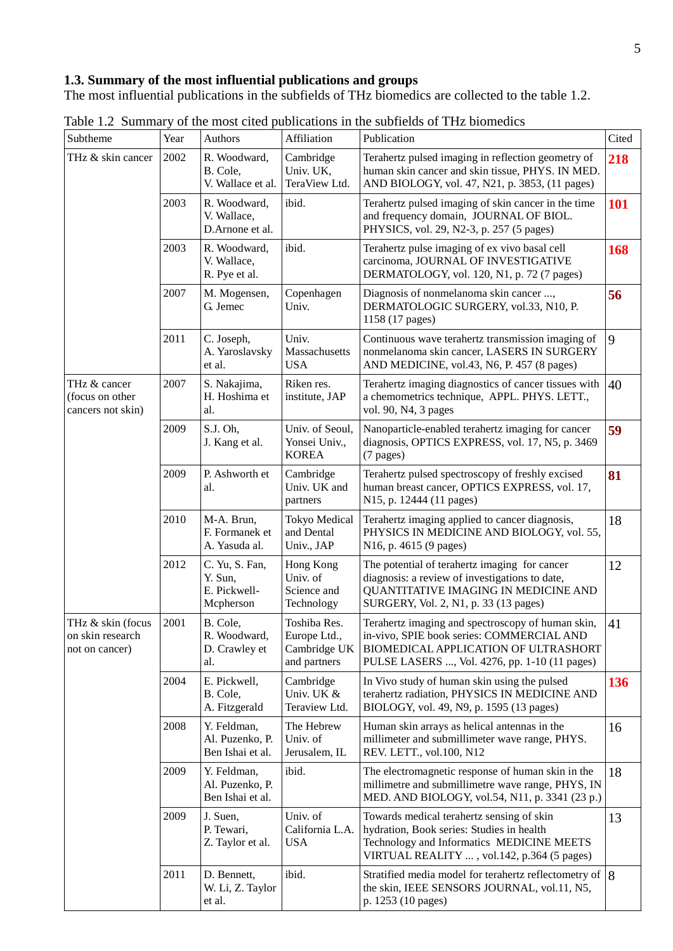## **1.3. Summary of the most influential publications and groups**

The most influential publications in the subfields of THz biomedics are collected to the table 1.2.

| Subtheme                                                | Year | Authors                                                | Affiliation                                                  | Publication                                                                                                                                                                             | Cited |
|---------------------------------------------------------|------|--------------------------------------------------------|--------------------------------------------------------------|-----------------------------------------------------------------------------------------------------------------------------------------------------------------------------------------|-------|
| THz & skin cancer                                       | 2002 | R. Woodward,<br>B. Cole,<br>V. Wallace et al.          | Cambridge<br>Univ. UK,<br>TeraView Ltd.                      | Terahertz pulsed imaging in reflection geometry of<br>human skin cancer and skin tissue, PHYS. IN MED.<br>AND BIOLOGY, vol. 47, N21, p. 3853, (11 pages)                                | 218   |
|                                                         | 2003 | R. Woodward,<br>V. Wallace,<br>D.Arnone et al.         | ibid.                                                        | Terahertz pulsed imaging of skin cancer in the time<br>and frequency domain, JOURNAL OF BIOL.<br>PHYSICS, vol. 29, N2-3, p. 257 (5 pages)                                               | 101   |
|                                                         | 2003 | R. Woodward,<br>V. Wallace,<br>R. Pye et al.           | ibid.                                                        | Terahertz pulse imaging of ex vivo basal cell<br>carcinoma, JOURNAL OF INVESTIGATIVE<br>DERMATOLOGY, vol. 120, N1, p. 72 (7 pages)                                                      | 168   |
|                                                         | 2007 | M. Mogensen,<br>G. Jemec                               | Copenhagen<br>Univ.                                          | Diagnosis of nonmelanoma skin cancer ,<br>DERMATOLOGIC SURGERY, vol.33, N10, P.<br>1158 (17 pages)                                                                                      | 56    |
|                                                         | 2011 | C. Joseph,<br>A. Yaroslavsky<br>et al.                 | Univ.<br>Massachusetts<br><b>USA</b>                         | Continuous wave terahertz transmission imaging of<br>nonmelanoma skin cancer, LASERS IN SURGERY<br>AND MEDICINE, vol.43, N6, P. 457 (8 pages)                                           | 9     |
| THz & cancer<br>(focus on other<br>cancers not skin)    | 2007 | S. Nakajima,<br>H. Hoshima et<br>al.                   | Riken res.<br>institute, JAP                                 | Terahertz imaging diagnostics of cancer tissues with<br>a chemometrics technique, APPL. PHYS. LETT.,<br>vol. 90, N4, 3 pages                                                            | 40    |
|                                                         | 2009 | S.J. Oh,<br>J. Kang et al.                             | Univ. of Seoul,<br>Yonsei Univ.,<br><b>KOREA</b>             | Nanoparticle-enabled terahertz imaging for cancer<br>diagnosis, OPTICS EXPRESS, vol. 17, N5, p. 3469<br>(7 pages)                                                                       | 59    |
|                                                         | 2009 | P. Ashworth et<br>al.                                  | Cambridge<br>Univ. UK and<br>partners                        | Terahertz pulsed spectroscopy of freshly excised<br>human breast cancer, OPTICS EXPRESS, vol. 17,<br>N15, p. 12444 (11 pages)                                                           | 81    |
|                                                         | 2010 | M-A. Brun,<br>F. Formanek et<br>A. Yasuda al.          | <b>Tokyo Medical</b><br>and Dental<br>Univ., JAP             | Terahertz imaging applied to cancer diagnosis,<br>PHYSICS IN MEDICINE AND BIOLOGY, vol. 55,<br>N16, p. 4615 (9 pages)                                                                   | 18    |
|                                                         | 2012 | C. Yu, S. Fan,<br>Y. Sun,<br>E. Pickwell-<br>Mcpherson | Hong Kong<br>Univ. of<br>Science and<br>Technology           | The potential of terahertz imaging for cancer<br>diagnosis: a review of investigations to date,<br>QUANTITATIVE IMAGING IN MEDICINE AND<br>SURGERY, Vol. 2, N1, p. 33 (13 pages)        | 12    |
| THz & skin (focus<br>on skin research<br>not on cancer) | 2001 | B. Cole,<br>R. Woodward,<br>D. Crawley et<br>al.       | Toshiba Res.<br>Europe Ltd.,<br>Cambridge UK<br>and partners | Terahertz imaging and spectroscopy of human skin,<br>in-vivo, SPIE book series: COMMERCIAL AND<br>BIOMEDICAL APPLICATION OF ULTRASHORT<br>PULSE LASERS , Vol. 4276, pp. 1-10 (11 pages) | 41    |
|                                                         | 2004 | E. Pickwell,<br>B. Cole,<br>A. Fitzgerald              | Cambridge<br>Univ. UK &<br>Teraview Ltd.                     | In Vivo study of human skin using the pulsed<br>terahertz radiation, PHYSICS IN MEDICINE AND<br>BIOLOGY, vol. 49, N9, p. 1595 (13 pages)                                                | 136   |
|                                                         | 2008 | Y. Feldman,<br>Al. Puzenko, P.<br>Ben Ishai et al.     | The Hebrew<br>Univ. of<br>Jerusalem, IL                      | Human skin arrays as helical antennas in the<br>millimeter and submillimeter wave range, PHYS.<br>REV. LETT., vol.100, N12                                                              | 16    |
|                                                         | 2009 | Y. Feldman,<br>Al. Puzenko, P.<br>Ben Ishai et al.     | ibid.                                                        | The electromagnetic response of human skin in the<br>millimetre and submillimetre wave range, PHYS, IN<br>MED. AND BIOLOGY, vol.54, N11, p. 3341 (23 p.)                                | 18    |
|                                                         | 2009 | J. Suen,<br>P. Tewari,<br>Z. Taylor et al.             | Univ. of<br>California L.A.<br><b>USA</b>                    | Towards medical terahertz sensing of skin<br>hydration, Book series: Studies in health<br>Technology and Informatics MEDICINE MEETS<br>VIRTUAL REALITY , vol.142, p.364 (5 pages)       | 13    |
|                                                         | 2011 | D. Bennett,<br>W. Li, Z. Taylor<br>et al.              | ibid.                                                        | Stratified media model for terahertz reflectometry of $ 8 $<br>the skin, IEEE SENSORS JOURNAL, vol.11, N5,<br>p. 1253 (10 pages)                                                        |       |

Table 1.2 Summary of the most cited publications in the subfields of THz biomedics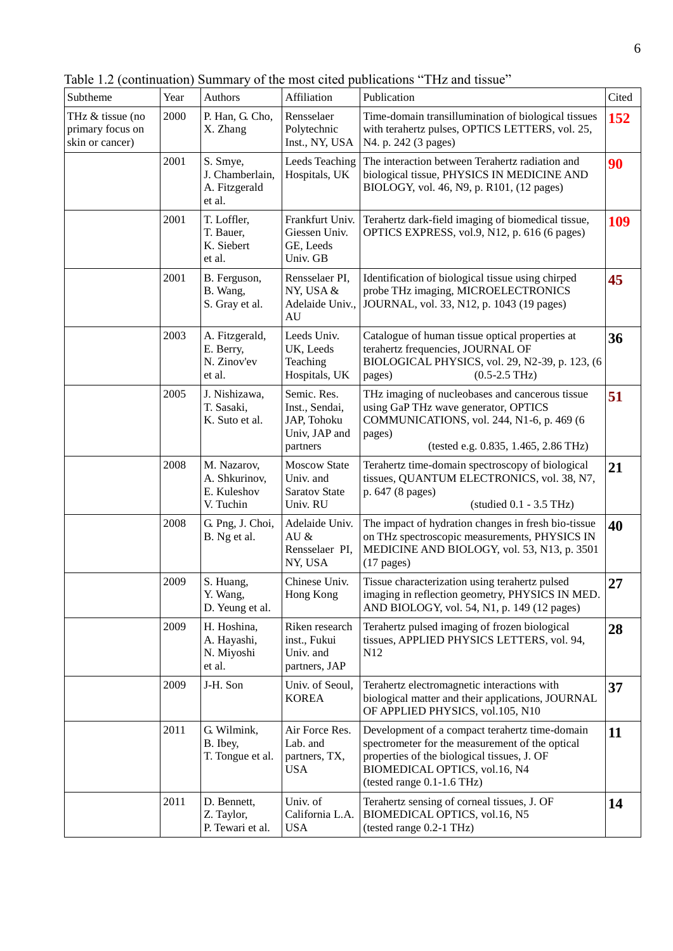Table 1.2 (continuation) Summary of the most cited publications "THz and tissue"

| Subtheme                                                | Year | Authors                                                  | Affiliation                                                               | Publication                                                                                                                                                                                                       | Cited      |
|---------------------------------------------------------|------|----------------------------------------------------------|---------------------------------------------------------------------------|-------------------------------------------------------------------------------------------------------------------------------------------------------------------------------------------------------------------|------------|
| THz & tissue (no<br>primary focus on<br>skin or cancer) | 2000 | P. Han, G. Cho,<br>X. Zhang                              | Rensselaer<br>Polytechnic<br>Inst., NY, USA                               | Time-domain transillumination of biological tissues<br>with terahertz pulses, OPTICS LETTERS, vol. 25,<br>N4. p. 242 (3 pages)                                                                                    | 152        |
|                                                         | 2001 | S. Smye,<br>J. Chamberlain,<br>A. Fitzgerald<br>et al.   | Leeds Teaching<br>Hospitals, UK                                           | The interaction between Terahertz radiation and<br>biological tissue, PHYSICS IN MEDICINE AND<br>BIOLOGY, vol. 46, N9, p. R101, (12 pages)                                                                        | 90         |
|                                                         | 2001 | T. Loffler,<br>T. Bauer,<br>K. Siebert<br>et al.         | Frankfurt Univ.<br>Giessen Univ.<br>GE, Leeds<br>Univ. GB                 | Terahertz dark-field imaging of biomedical tissue,<br>OPTICS EXPRESS, vol.9, N12, p. 616 (6 pages)                                                                                                                | <b>109</b> |
|                                                         | 2001 | B. Ferguson,<br>B. Wang,<br>S. Gray et al.               | Rensselaer PI,<br>NY, USA &<br>Adelaide Univ.,<br>AU                      | Identification of biological tissue using chirped<br>probe THz imaging, MICROELECTRONICS<br>JOURNAL, vol. 33, N12, p. 1043 (19 pages)                                                                             | 45         |
|                                                         | 2003 | A. Fitzgerald,<br>E. Berry,<br>N. Zinov'ev<br>et al.     | Leeds Univ.<br>UK, Leeds<br>Teaching<br>Hospitals, UK                     | Catalogue of human tissue optical properties at<br>terahertz frequencies, JOURNAL OF<br>BIOLOGICAL PHYSICS, vol. 29, N2-39, p. 123, (6<br>$(0.5 - 2.5$ THz)<br>pages)                                             | 36         |
|                                                         | 2005 | J. Nishizawa,<br>T. Sasaki,<br>K. Suto et al.            | Semic. Res.<br>Inst., Sendai,<br>JAP, Tohoku<br>Univ, JAP and<br>partners | THz imaging of nucleobases and cancerous tissue<br>using GaP THz wave generator, OPTICS<br>COMMUNICATIONS, vol. 244, N1-6, p. 469 (6<br>pages)<br>(tested e.g. 0.835, 1.465, 2.86 THz)                            | 51         |
|                                                         | 2008 | M. Nazarov,<br>A. Shkurinov,<br>E. Kuleshov<br>V. Tuchin | <b>Moscow State</b><br>Univ. and<br><b>Saratov State</b><br>Univ. RU      | Terahertz time-domain spectroscopy of biological<br>tissues, QUANTUM ELECTRONICS, vol. 38, N7,<br>p. 647 (8 pages)<br>$(statided 0.1 - 3.5 THz)$                                                                  | 21         |
|                                                         | 2008 | G. Png, J. Choi,<br>B. Ng et al.                         | Adelaide Univ.<br>AU $\&$<br>Rensselaer PI,<br>NY, USA                    | The impact of hydration changes in fresh bio-tissue<br>on THz spectroscopic measurements, PHYSICS IN<br>MEDICINE AND BIOLOGY, vol. 53, N13, p. 3501<br>$(17$ pages)                                               | 40         |
|                                                         | 2009 | S. Huang,<br>Y. Wang,<br>D. Yeung et al.                 | Chinese Univ.<br>Hong Kong                                                | Tissue characterization using terahertz pulsed<br>imaging in reflection geometry, PHYSICS IN MED.<br>AND BIOLOGY, vol. 54, N1, p. 149 (12 pages)                                                                  | 27         |
|                                                         | 2009 | H. Hoshina,<br>A. Hayashi,<br>N. Miyoshi<br>et al.       | Riken research<br>inst., Fukui<br>Univ. and<br>partners, JAP              | Terahertz pulsed imaging of frozen biological<br>tissues, APPLIED PHYSICS LETTERS, vol. 94,<br>N12                                                                                                                | 28         |
|                                                         | 2009 | J-H. Son                                                 | Univ. of Seoul,<br><b>KOREA</b>                                           | Terahertz electromagnetic interactions with<br>biological matter and their applications, JOURNAL<br>OF APPLIED PHYSICS, vol.105, N10                                                                              | 37         |
|                                                         | 2011 | G. Wilmink,<br>B. Ibey,<br>T. Tongue et al.              | Air Force Res.<br>Lab. and<br>partners, TX,<br><b>USA</b>                 | Development of a compact terahertz time-domain<br>spectrometer for the measurement of the optical<br>properties of the biological tissues, J. OF<br>BIOMEDICAL OPTICS, vol.16, N4<br>(tested range $0.1-1.6$ THz) | 11         |
|                                                         | 2011 | D. Bennett,<br>Z. Taylor,<br>P. Tewari et al.            | Univ. of<br>California L.A.<br><b>USA</b>                                 | Terahertz sensing of corneal tissues, J. OF<br>BIOMEDICAL OPTICS, vol.16, N5<br>(tested range 0.2-1 THz)                                                                                                          | 14         |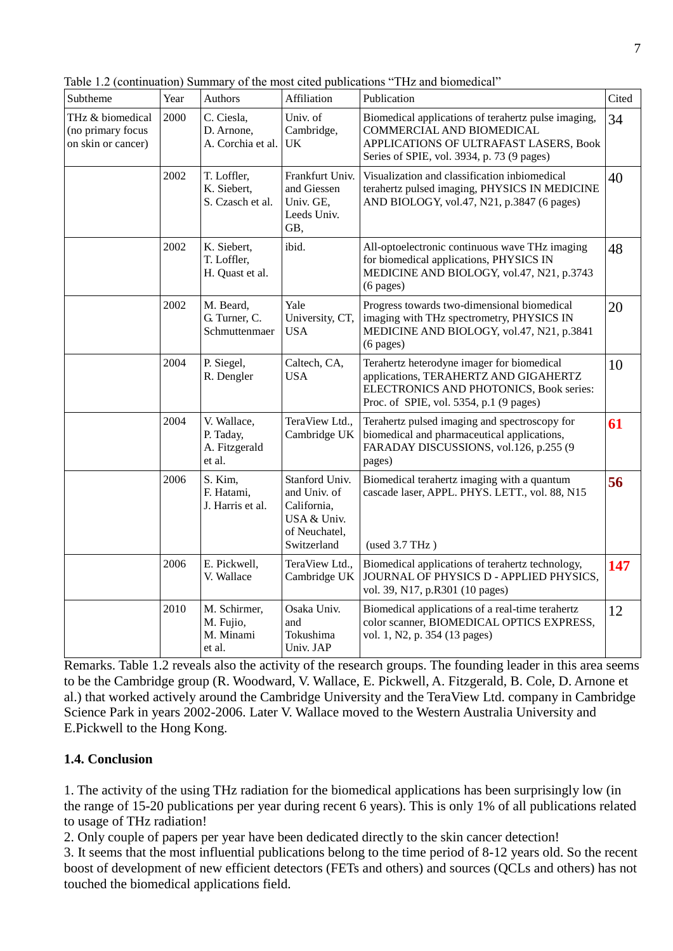Table 1.2 (continuation) Summary of the most cited publications "THz and biomedical"

| Subtheme                                                    | Year | Authors                                             | Affiliation                                                                                  | Publication                                                                                                                                                               | Cited |
|-------------------------------------------------------------|------|-----------------------------------------------------|----------------------------------------------------------------------------------------------|---------------------------------------------------------------------------------------------------------------------------------------------------------------------------|-------|
| THz & biomedical<br>(no primary focus<br>on skin or cancer) | 2000 | C. Ciesla,<br>D. Arnone,<br>A. Corchia et al.       | Univ. of<br>Cambridge,<br><b>UK</b>                                                          | Biomedical applications of terahertz pulse imaging,<br>COMMERCIAL AND BIOMEDICAL<br>APPLICATIONS OF ULTRAFAST LASERS, Book<br>Series of SPIE, vol. 3934, p. 73 (9 pages)  | 34    |
|                                                             | 2002 | T. Loffler,<br>K. Siebert,<br>S. Czasch et al.      | Frankfurt Univ.<br>and Giessen<br>Univ. GE,<br>Leeds Univ.<br>GB,                            | Visualization and classification inbiomedical<br>terahertz pulsed imaging, PHYSICS IN MEDICINE<br>AND BIOLOGY, vol.47, N21, p.3847 (6 pages)                              | 40    |
|                                                             | 2002 | K. Siebert,<br>T. Loffler,<br>H. Quast et al.       | ibid.                                                                                        | All-optoelectronic continuous wave THz imaging<br>for biomedical applications, PHYSICS IN<br>MEDICINE AND BIOLOGY, vol.47, N21, p.3743<br>$(6 \text{ pages})$             | 48    |
|                                                             | 2002 | M. Beard,<br>G. Turner, C.<br>Schmuttenmaer         | Yale<br>University, CT,<br><b>USA</b>                                                        | Progress towards two-dimensional biomedical<br>imaging with THz spectrometry, PHYSICS IN<br>MEDICINE AND BIOLOGY, vol.47, N21, p.3841<br>$(6$ pages)                      | 20    |
|                                                             | 2004 | P. Siegel,<br>R. Dengler                            | Caltech, CA,<br><b>USA</b>                                                                   | Terahertz heterodyne imager for biomedical<br>applications, TERAHERTZ AND GIGAHERTZ<br>ELECTRONICS AND PHOTONICS, Book series:<br>Proc. of SPIE, vol. 5354, p.1 (9 pages) | 10    |
|                                                             | 2004 | V. Wallace,<br>P. Taday,<br>A. Fitzgerald<br>et al. | TeraView Ltd.,<br>Cambridge UK                                                               | Terahertz pulsed imaging and spectroscopy for<br>biomedical and pharmaceutical applications,<br>FARADAY DISCUSSIONS, vol.126, p.255 (9<br>pages)                          | 61    |
|                                                             | 2006 | S. Kim,<br>F. Hatami,<br>J. Harris et al.           | Stanford Univ.<br>and Univ. of<br>California.<br>USA & Univ.<br>of Neuchatel.<br>Switzerland | Biomedical terahertz imaging with a quantum<br>cascade laser, APPL. PHYS. LETT., vol. 88, N15<br>(used 3.7 THz)                                                           | 56    |
|                                                             | 2006 | E. Pickwell,<br>V. Wallace                          | TeraView Ltd.,<br>Cambridge UK                                                               | Biomedical applications of terahertz technology,<br>JOURNAL OF PHYSICS D - APPLIED PHYSICS,<br>vol. 39, N17, p.R301 (10 pages)                                            | 147   |
|                                                             | 2010 | M. Schirmer,<br>M. Fujio,<br>M. Minami<br>et al.    | Osaka Univ.<br>and<br>Tokushima<br>Univ. JAP                                                 | Biomedical applications of a real-time terahertz<br>color scanner, BIOMEDICAL OPTICS EXPRESS,<br>vol. 1, N2, p. 354 (13 pages)                                            | 12    |

Remarks. Table 1.2 reveals also the activity of the research groups. The founding leader in this area seems to be the Cambridge group (R. Woodward, V. Wallace, E. Pickwell, A. Fitzgerald, B. Cole, D. Arnone et al.) that worked actively around the Cambridge University and the TeraView Ltd. company in Cambridge Science Park in years 2002-2006. Later V. Wallace moved to the Western Australia University and E.Pickwell to the Hong Kong.

### **1.4. Conclusion**

1. The activity of the using THz radiation for the biomedical applications has been surprisingly low (in the range of 15-20 publications per year during recent 6 years). This is only 1% of all publications related to usage of THz radiation!

2. Only couple of papers per year have been dedicated directly to the skin cancer detection!

3. It seems that the most influential publications belong to the time period of 8-12 years old. So the recent boost of development of new efficient detectors (FETs and others) and sources (QCLs and others) has not touched the biomedical applications field.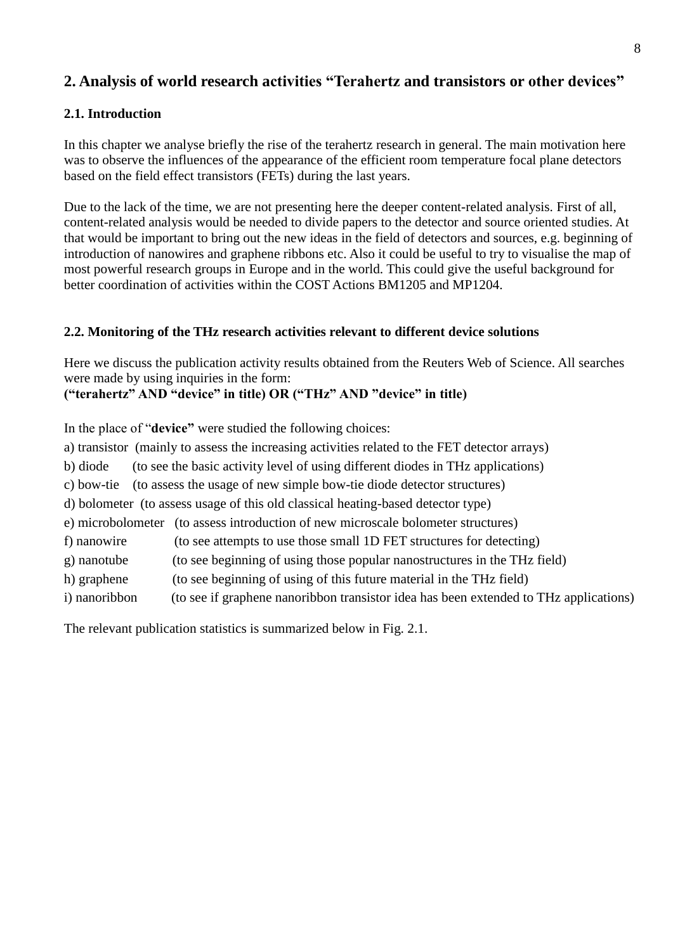# **2. Analysis of world research activities "Terahertz and transistors or other devices"**

## **2.1. Introduction**

In this chapter we analyse briefly the rise of the terahertz research in general. The main motivation here was to observe the influences of the appearance of the efficient room temperature focal plane detectors based on the field effect transistors (FETs) during the last years.

Due to the lack of the time, we are not presenting here the deeper content-related analysis. First of all, content-related analysis would be needed to divide papers to the detector and source oriented studies. At that would be important to bring out the new ideas in the field of detectors and sources, e.g. beginning of introduction of nanowires and graphene ribbons etc. Also it could be useful to try to visualise the map of most powerful research groups in Europe and in the world. This could give the useful background for better coordination of activities within the COST Actions BM1205 and MP1204.

## **2.2. Monitoring of the THz research activities relevant to different device solutions**

Here we discuss the publication activity results obtained from the Reuters Web of Science. All searches were made by using inquiries in the form:

# **("terahertz" AND "device" in title) OR ("THz" AND "device" in title)**

In the place of "**device"** were studied the following choices:

|                   | a) transistor (mainly to assess the increasing activities related to the FET detector arrays) |  |  |  |
|-------------------|-----------------------------------------------------------------------------------------------|--|--|--|
| b) diode          | (to see the basic activity level of using different diodes in THz applications)               |  |  |  |
| c) bow-tie        | (to assess the usage of new simple bow-tie diode detector structures)                         |  |  |  |
|                   | d) bolometer (to assess usage of this old classical heating-based detector type)              |  |  |  |
| e) microbolometer | (to assess introduction of new microscale bolometer structures)                               |  |  |  |
| f) nanowire       | (to see attempts to use those small 1D FET structures for detecting)                          |  |  |  |
| g) nanotube       | (to see beginning of using those popular nanostructures in the THz field)                     |  |  |  |
| h) graphene       | (to see beginning of using of this future material in the THz field)                          |  |  |  |
| i) nanoribbon     | (to see if graphene nanoribbon transistor idea has been extended to THz applications)         |  |  |  |
|                   |                                                                                               |  |  |  |

The relevant publication statistics is summarized below in Fig. 2.1.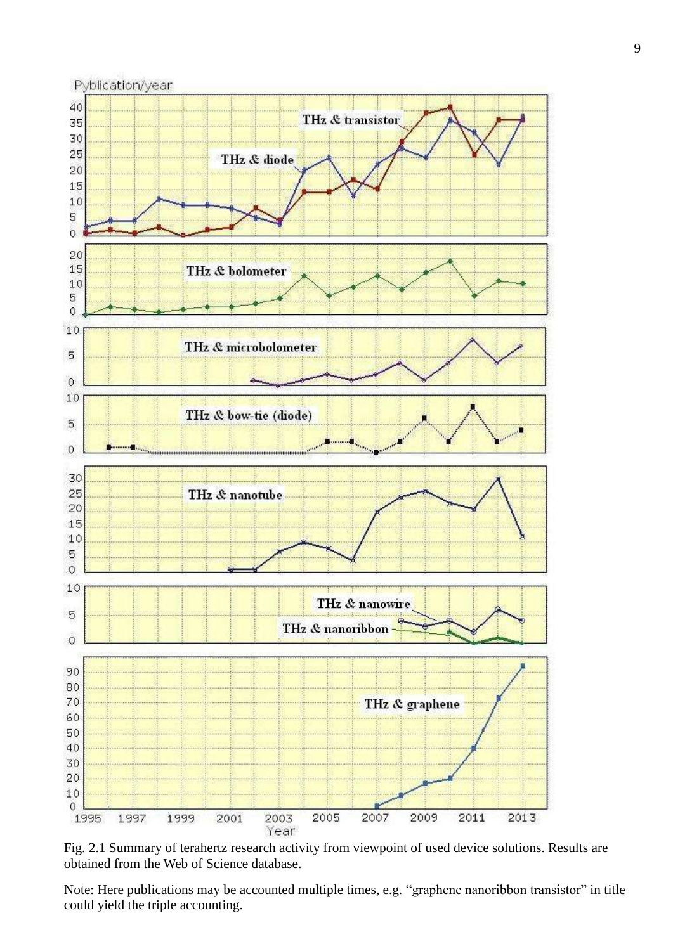

Fig. 2.1 Summary of terahertz research activity from viewpoint of used device solutions. Results are obtained from the Web of Science database.

Note: Here publications may be accounted multiple times, e.g. "graphene nanoribbon transistor" in title could yield the triple accounting.